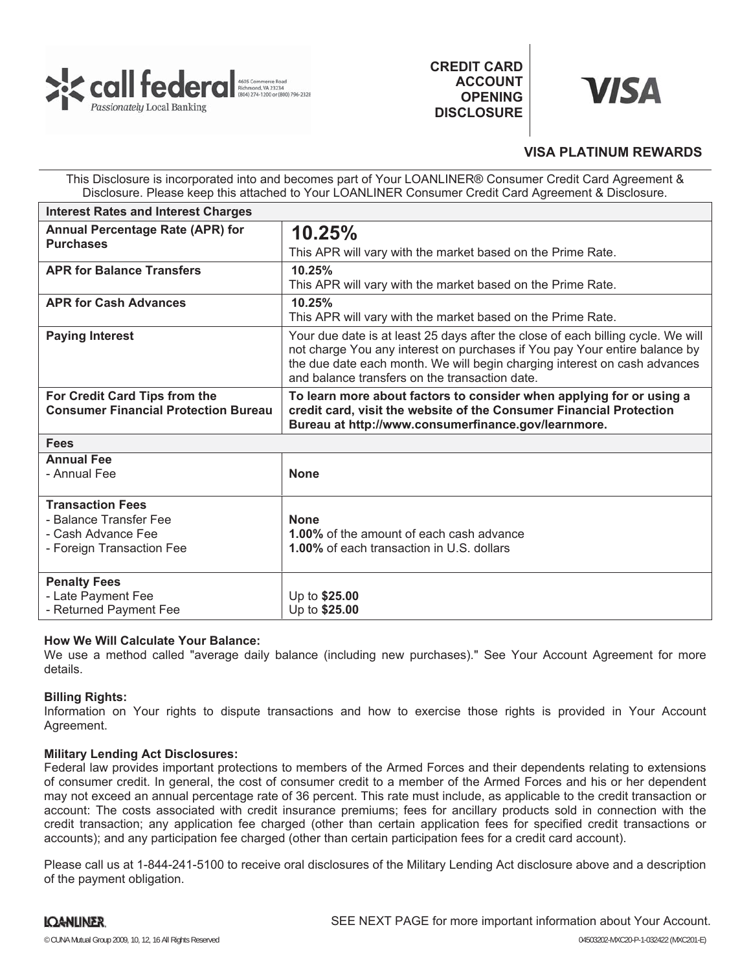

**CREDIT CARD ACCOUNT OPENING DISCLOSURE**



# **VISA PLATINUM REWARDS**

This Disclosure is incorporated into and becomes part of Your LOANLINER® Consumer Credit Card Agreement & Disclosure. Please keep this attached to Your LOANLINER Consumer Credit Card Agreement & Disclosure.

| <b>Interest Rates and Interest Charges</b>                                   |                                                                                                                                                                                                                                                                                               |
|------------------------------------------------------------------------------|-----------------------------------------------------------------------------------------------------------------------------------------------------------------------------------------------------------------------------------------------------------------------------------------------|
| Annual Percentage Rate (APR) for<br><b>Purchases</b>                         | 10.25%                                                                                                                                                                                                                                                                                        |
|                                                                              | This APR will vary with the market based on the Prime Rate.                                                                                                                                                                                                                                   |
| <b>APR for Balance Transfers</b>                                             | 10.25%                                                                                                                                                                                                                                                                                        |
|                                                                              | This APR will vary with the market based on the Prime Rate.                                                                                                                                                                                                                                   |
| <b>APR for Cash Advances</b>                                                 | 10.25%                                                                                                                                                                                                                                                                                        |
|                                                                              | This APR will vary with the market based on the Prime Rate.                                                                                                                                                                                                                                   |
| <b>Paying Interest</b>                                                       | Your due date is at least 25 days after the close of each billing cycle. We will<br>not charge You any interest on purchases if You pay Your entire balance by<br>the due date each month. We will begin charging interest on cash advances<br>and balance transfers on the transaction date. |
| For Credit Card Tips from the<br><b>Consumer Financial Protection Bureau</b> | To learn more about factors to consider when applying for or using a<br>credit card, visit the website of the Consumer Financial Protection<br>Bureau at http://www.consumerfinance.gov/learnmore.                                                                                            |
| <b>Fees</b>                                                                  |                                                                                                                                                                                                                                                                                               |
| <b>Annual Fee</b>                                                            |                                                                                                                                                                                                                                                                                               |
| - Annual Fee                                                                 | <b>None</b>                                                                                                                                                                                                                                                                                   |
| <b>Transaction Fees</b>                                                      |                                                                                                                                                                                                                                                                                               |
| - Balance Transfer Fee                                                       | <b>None</b>                                                                                                                                                                                                                                                                                   |
| - Cash Advance Fee                                                           | 1.00% of the amount of each cash advance                                                                                                                                                                                                                                                      |
| - Foreign Transaction Fee                                                    | <b>1.00%</b> of each transaction in U.S. dollars                                                                                                                                                                                                                                              |
| <b>Penalty Fees</b>                                                          |                                                                                                                                                                                                                                                                                               |
| - Late Payment Fee                                                           | Up to \$25.00                                                                                                                                                                                                                                                                                 |
| - Returned Payment Fee                                                       | Up to \$25.00                                                                                                                                                                                                                                                                                 |

# **How We Will Calculate Your Balance:**

We use a method called "average daily balance (including new purchases)." See Your Account Agreement for more details.

# **Billing Rights:**

Information on Your rights to dispute transactions and how to exercise those rights is provided in Your Account Agreement.

# **Military Lending Act Disclosures:**

Federal law provides important protections to members of the Armed Forces and their dependents relating to extensions of consumer credit. In general, the cost of consumer credit to a member of the Armed Forces and his or her dependent may not exceed an annual percentage rate of 36 percent. This rate must include, as applicable to the credit transaction or account: The costs associated with credit insurance premiums; fees for ancillary products sold in connection with the credit transaction; any application fee charged (other than certain application fees for specified credit transactions or accounts); and any participation fee charged (other than certain participation fees for a credit card account).

Please call us at 1-844-241-5100 to receive oral disclosures of the Military Lending Act disclosure above and a description of the payment obligation.